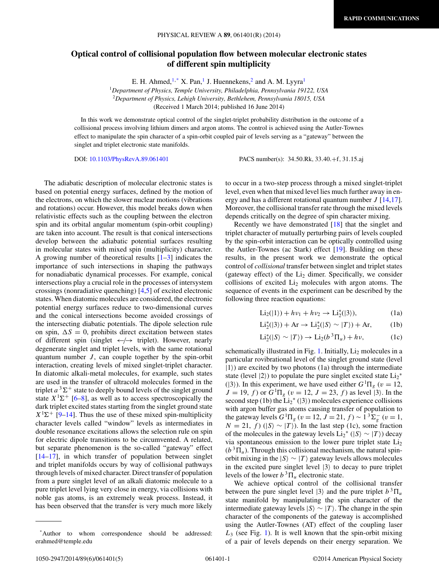## **Optical control of collisional population flow between molecular electronic states of different spin multiplicity**

E. H. Ahmed,  $1,^*$  X. Pan, I J. Huennekens, 2 and A. M. Lyyra<sup>1</sup>

<sup>1</sup>*Department of Physics, Temple University, Philadelphia, Pennsylvania 19122, USA* <sup>2</sup>*Department of Physics, Lehigh University, Bethlehem, Pennsylvania 18015, USA* (Received 1 March 2014; published 16 June 2014)

In this work we demonstrate optical control of the singlet-triplet probability distribution in the outcome of a collisional process involving lithium dimers and argon atoms. The control is achieved using the Autler-Townes effect to manipulate the spin character of a spin-orbit coupled pair of levels serving as a "gateway" between the singlet and triplet electronic state manifolds.

DOI: [10.1103/PhysRevA.89.061401](http://dx.doi.org/10.1103/PhysRevA.89.061401) PACS number(s): 34*.*50*.*Rk*,* 33*.*40*.*+f*,* 31*.*15*.*aj

The adiabatic description of molecular electronic states is based on potential energy surfaces, defined by the motion of the electrons, on which the slower nuclear motions (vibrations and rotations) occur. However, this model breaks down when relativistic effects such as the coupling between the electron spin and its orbital angular momentum (spin-orbit coupling) are taken into account. The result is that conical intersections develop between the adiabatic potential surfaces resulting in molecular states with mixed spin (multiplicity) character. A growing number of theoretical results  $[1-3]$  indicates the importance of such intersections in shaping the pathways for nonadiabatic dynamical processes. For example, conical intersections play a crucial role in the processes of intersystem crossings (nonradiative quenching) [\[4,5\]](#page-3-0) of excited electronic states. When diatomic molecules are considered, the electronic potential energy surfaces reduce to two-dimensional curves and the conical intersections become avoided crossings of the intersecting diabatic potentials. The dipole selection rule on spin,  $\Delta S = 0$ , prohibits direct excitation between states of different spin (singlet ←*/*→ triplet). However, nearly degenerate singlet and triplet levels, with the same rotational quantum number  $J$ , can couple together by the spin-orbit interaction, creating levels of mixed singlet-triplet character. In diatomic alkali-metal molecules, for example, such states are used in the transfer of ultracold molecules formed in the triplet  $a^3\Sigma^+$  state to deeply bound levels of the singlet ground state  $X^1\Sigma^+$  [\[6](#page-3-0)[–8\]](#page-4-0), as well as to access spectroscopically the dark triplet excited states starting from the singlet ground state  $X<sup>1</sup>\Sigma^{+}$  [\[9–14\]](#page-4-0). Thus the use of these mixed spin-multiplicity character levels called "window" levels as intermediates in double resonance excitations allows the selection rule on spin for electric dipole transitions to be circumvented. A related, but separate phenomenon is the so-called "gateway" effect [\[14–17\]](#page-4-0), in which transfer of population between singlet and triplet manifolds occurs by way of collisional pathways through levels of mixed character. Direct transfer of population from a pure singlet level of an alkali diatomic molecule to a pure triplet level lying very close in energy, via collisions with noble gas atoms, is an extremely weak process. Instead, it has been observed that the transfer is very much more likely

to occur in a two-step process through a mixed singlet-triplet level, even when that mixed level lies much further away in energy and has a different rotational quantum number *J* [\[14,17\]](#page-4-0). Moreover, the collisional transfer rate through the mixed levels depends critically on the degree of spin character mixing.

Recently we have demonstrated [\[18\]](#page-4-0) that the singlet and triplet character of mutually perturbing pairs of levels coupled by the spin-orbit interaction can be optically controlled using the Autler-Townes (ac Stark) effect [\[19\]](#page-4-0). Building on these results, in the present work we demonstrate the optical control of *collisional* transfer between singlet and triplet states (gateway effect) of the  $Li<sub>2</sub>$  dimer. Specifically, we consider collisions of excited  $Li<sub>2</sub>$  molecules with argon atoms. The sequence of events in the experiment can be described by the following three reaction equations:

$$
\text{Li}_2(|1\rangle) + h\nu_1 + h\nu_2 \to \text{Li}_2^*(|3\rangle),\tag{1a}
$$

$$
Li_2^*(|3\rangle) + Ar \to Li_2^*(|S\rangle \sim |T\rangle) + Ar,\tag{1b}
$$

$$
\mathrm{Li}_2^*(|S\rangle \sim |T\rangle) \to \mathrm{Li}_2(b^3 \Pi_u) + h\nu, \tag{1c}
$$

schematically illustrated in Fig. [1.](#page-1-0) Initially,  $Li<sub>2</sub>$  molecules in a particular rovibrational level of the singlet ground state (level  $|1\rangle$ ) are excited by two photons (1a) through the intermediate state (level  $|2\rangle$ ) to populate the pure singlet excited state  $Li_2^*$ ( $|3\rangle$ ). In this experiment, we have used either  $G<sup>1</sup>\Pi<sub>g</sub>$  ( $v = 12$ ,  $J = 19, f$  or  $G<sup>1</sup> \Pi_g$  ( $v = 12, J = 23, f$ ) as level (3). In the second step (1b) the  $Li_2^*(3)$  molecules experience collisions with argon buffer gas atoms causing transfer of population to the gateway levels  $G^{1}\Pi_{g}$  ( $v = 12$ ,  $J = 21$ ,  $f$ ) ~  $1^{3}\Sigma_{g}^{-}$  ( $v = 1$ ,  $N = 21, f$  ( $|S\rangle \sim |T\rangle$ ). In the last step (1c), some fraction of the molecules in the gateway levels  $Li_2^*(|S⟩ \sim |T⟩)$  decay via spontaneous emission to the lower pure triplet state  $Li<sub>2</sub>$  $(b^{3}\Pi_{u})$ . Through this collisional mechanism, the natural spinorbit mixing in the  $|S⟩ \sim |T⟩$  gateway levels allows molecules in the excited pure singlet level  $|3\rangle$  to decay to pure triplet levels of the lower  $b^3 \Pi_u$  electronic state.

We achieve optical control of the collisional transfer between the pure singlet level  $|3\rangle$  and the pure triplet  $b^3 \Pi_u$ state manifold by manipulating the spin character of the intermediate gateway levels  $|S\rangle \sim |T\rangle$ . The change in the spin character of the components of the gateway is accomplished using the Autler-Townes (AT) effect of the coupling laser *L*<sup>3</sup> (see Fig. [1\)](#page-1-0). It is well known that the spin-orbit mixing of a pair of levels depends on their energy separation. We

<sup>\*</sup>Author to whom correspondence should be addressed: erahmed@temple.edu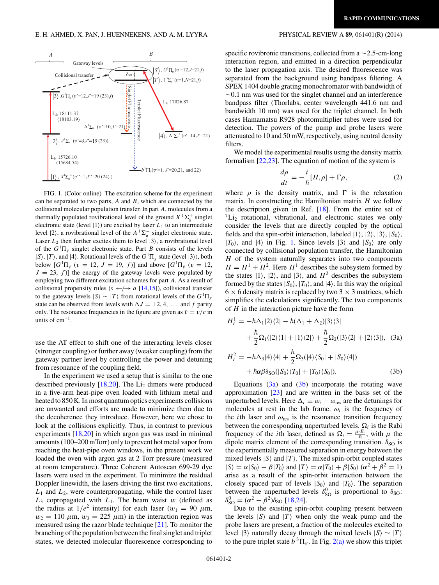<span id="page-1-0"></span>

FIG. 1. (Color online) The excitation scheme for the experiment can be separated to two parts, *A* and *B*, which are connected by the collisional molecular population transfer. In part *A*, molecules from a thermally populated rovibrational level of the ground  $X^1\Sigma_g^+$  singlet electronic state (level  $|1\rangle$ ) are excited by laser  $L_1$  to an intermediate level  $|2\rangle$ , a rovibrational level of the  $A^{-1}\Sigma_u^+$  singlet electronic state. Laser  $L_2$  then further excites them to level  $|3\rangle$ , a rovibrational level of the  $G<sup>1</sup>\Pi<sub>g</sub>$  singlet electronic state. Part *B* consists of the levels  $|S\rangle$ ,  $|T\rangle$ , and  $|4\rangle$ . Rotational levels of the  $G<sup>1</sup>\Pi_g$  state (level  $|3\rangle$ ), both below  $[G^1\Pi_g \ (v = 12, J = 19, f)]$  and above  $[G^1\Pi_g \ (v = 12,$  $J = 23, f$ ] the energy of the gateway levels were populated by employing two different excitation schemes for part *A*. As a result of collisional propensity rules ( $s \leftarrow / \rightarrow a$  [\[14,15\]](#page-4-0)), collisional transfer to the gateway levels  $|S\rangle \sim |T\rangle$  from rotational levels of the  $G^1\Pi_g$ state can be observed from levels with  $\Delta J = \pm 2, 4, \ldots$  and *f* parity only. The resonance frequencies in the figure are given as  $\tilde{v} = v/c$  in units of  $cm^{-1}$ .

use the AT effect to shift one of the interacting levels closer (stronger coupling) or further away (weaker coupling) from the gateway partner level by controlling the power and detuning from resonance of the coupling field.

In the experiment we used a setup that is similar to the one described previously  $[18,20]$ . The Li<sub>2</sub> dimers were produced in a five-arm heat-pipe oven loaded with lithium metal and heated to 850 K. In most quantum optics experiments collisions are unwanted and efforts are made to minimize them due to the decoherence they introduce. However, here we chose to look at the collisions explicitly. Thus, in contrast to previous experiments [\[18,20\]](#page-4-0) in which argon gas was used in minimal amounts (100–200 mTorr) only to prevent hot metal vapor from reaching the heat-pipe oven windows, in the present work we loaded the oven with argon gas at 2 Torr pressure (measured at room temperature). Three Coherent Autoscan 699-29 dye lasers were used in the experiment. To minimize the residual Doppler linewidth, the lasers driving the first two excitations, *L*<sup>1</sup> and *L*2, were counterpropagating, while the control laser  $L_3$  copropagated with  $L_1$ . The beam waist *w* (defined as the radius at  $1/e^2$  intensity) for each laser ( $w_1 = 90 \mu m$ ,  $w_2 = 110 \ \mu \text{m}$ ,  $w_3 = 225 \ \mu \text{m}$ ) in the interaction region was measured using the razor blade technique [\[21\]](#page-4-0). To monitor the branching of the population between the final singlet and triplet states, we detected molecular fluorescence corresponding to

specific rovibronic transitions, collected from a  $\sim$  2.5-cm-long interaction region, and emitted in a direction perpendicular to the laser propagation axis. The desired fluorescence was separated from the background using bandpass filtering. A SPEX 1404 double grating monochromator with bandwidth of -0.1 nm was used for the singlet channel and an interference bandpass filter (Thorlabs, center wavelength 441.6 nm and bandwidth 10 nm) was used for the triplet channel. In both cases Hamamatsu R928 photomultiplier tubes were used for detection. The powers of the pump and probe lasers were attenuated to 10 and 50 mW, respectively, using neutral density filters.

We model the experimental results using the density matrix formalism  $[22,23]$ . The equation of motion of the system is

$$
\frac{d\rho}{dt} = -\frac{i}{\hbar} [H,\rho] + \Gamma \rho,\tag{2}
$$

where  $\rho$  is the density matrix, and  $\Gamma$  is the relaxation matrix. In constructing the Hamiltonian matrix *H* we follow the description given in Ref. [\[18\]](#page-4-0). From the entire set of  ${}^{7}Li_{2}$  rotational, vibrational, and electronic states we only consider the levels that are directly coupled by the optical fields and the spin-orbit interaction, labeled  $|1\rangle$ ,  $|2\rangle$ ,  $|3\rangle$ ,  $|S_0\rangle$ ,  $|T_0\rangle$ , and  $|4\rangle$  in Fig. 1. Since levels  $|3\rangle$  and  $|S_0\rangle$  are only connected by collisional population transfer, the Hamiltonian *H* of the system naturally separates into two components  $H = H<sup>1</sup> + H<sup>2</sup>$ . Here *H*<sup>1</sup> describes the subsystem formed by the states  $|1\rangle$ ,  $|2\rangle$ , and  $|3\rangle$ , and  $H^2$  describes the subsystem formed by the states  $|S_0\rangle$ ,  $|T_0\rangle$ , and  $|4\rangle$ . In this way the original  $6 \times 6$  density matrix is replaced by two 3  $\times$  3 matrices, which simplifies the calculations significantly. The two components of *H* in the interaction picture have the form

$$
H_I^1 = -\hbar\Delta_1|2\rangle\langle2| - \hbar(\Delta_1 + \Delta_2)|3\rangle\langle3|
$$
  
+ 
$$
\frac{\hbar}{2}\Omega_1(|2\rangle\langle1| + |1\rangle\langle2|) + \frac{\hbar}{2}\Omega_2(|3\rangle\langle2| + |2\rangle\langle3|),
$$
 (3a)  

$$
H_I^2 = -\hbar\Delta_3|4\rangle\langle4| + \frac{\hbar}{2}\Omega_3(|4\rangle\langle S_0| + |S_0\rangle\langle4|)
$$

$$
+\hbar\alpha\beta\delta_{\rm SO}(|S_0\rangle\langle T_0|+|T_0\rangle\langle S_0|). \tag{3b}
$$

Equations  $(3a)$  and  $(3b)$  incorporate the rotating wave approximation [\[23\]](#page-4-0) and are written in the basis set of the unperturbed levels. Here  $\Delta_i \equiv \omega_i - \omega_{\text{res}}$  are the detunings for molecules at rest in the lab frame.  $\omega_i$  is the frequency of the *i*th laser and *ω*res is the resonance transition frequency between the corresponding unperturbed levels.  $\Omega_i$  is the Rabi frequency of the *i*th laser, defined as  $\Omega_i = \frac{\mu E_i}{\hbar}$ , with  $\mu$  the dipole matrix element of the corresponding transition.  $\delta_{SO}$  is the experimentally measured separation in energy between the mixed levels  $|S\rangle$  and  $|T\rangle$ . The mixed spin-orbit coupled states  $|S\rangle = \alpha |S_0\rangle - \beta |T_0\rangle$  and  $|T\rangle = \alpha |T_0\rangle + \beta |S_0\rangle (\alpha^2 + \beta^2 = 1)$ arise as a result of the spin-orbit interaction between the closely spaced pair of levels  $|S_0\rangle$  and  $|T_0\rangle$ . The separation between the unperturbed levels  $\delta_{\text{SO}}^0$  is proportional to  $\delta_{\text{SO}}$ :  $\delta_{\rm SO}^0 = (\alpha^2 - \beta^2)\delta_{\rm SO}$  [\[18,24\]](#page-4-0).

Due to the existing spin-orbit coupling present between the levels  $|S\rangle$  and  $|T\rangle$  when only the weak pump and the probe lasers are present, a fraction of the molecules excited to level  $|3\rangle$  naturally decay through the mixed levels  $|S\rangle \sim |T\rangle$ to the pure triplet state  $b^3 \Pi_u$ . In Fig. [2\(a\)](#page-2-0) we show this triplet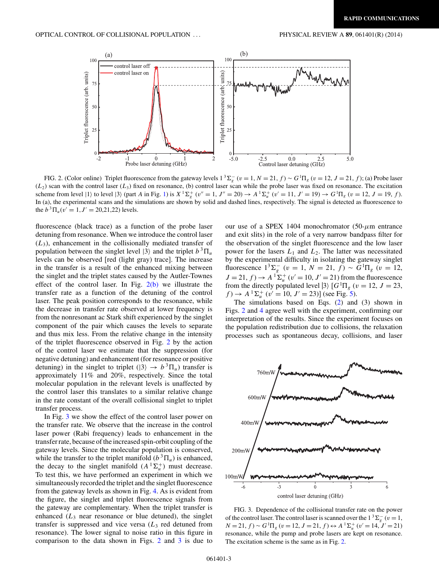<span id="page-2-0"></span>

FIG. 2. (Color online) Triplet fluorescence from the gateway levels  $1^3\Sigma_g^-(v=1, N=21, f) \sim G^1\Pi_g(v=12, J=21, f)$ ; (a) Probe laser  $(L_2)$  scan with the control laser  $(L_3)$  fixed on resonance, (b) control laser scan while the probe laser was fixed on resonance. The excitation scheme from level  $|1\rangle$  to level  $|3\rangle$  (part A in Fig. [1\)](#page-1-0) is  $X^1\Sigma_g^+(v''=1, J''=20) \rightarrow A^1\Sigma_u^+(v'=11, J'=19) \rightarrow G^1\Pi_g$  ( $v=12, J=19, f$ ). In (a), the experimental scans and the simulations are shown by solid and dashed lines, respectively. The signal is detected as fluorescence to the  $b^{3} \Pi_{u}(v' = 1, J' = 20,21,22)$  levels.

fluorescence (black trace) as a function of the probe laser detuning from resonance. When we introduce the control laser  $(L_3)$ , enhancement in the collisionally mediated transfer of population between the singlet level  $|3\rangle$  and the triplet  $b^3\Pi_u$ levels can be observed [red (light gray) trace]. The increase in the transfer is a result of the enhanced mixing between the singlet and the triplet states caused by the Autler-Townes effect of the control laser. In Fig.  $2(b)$  we illustrate the transfer rate as a function of the detuning of the control laser. The peak position corresponds to the resonance, while the decrease in transfer rate observed at lower frequency is from the nonresonant ac Stark shift experienced by the singlet component of the pair which causes the levels to separate and thus mix less. From the relative change in the intensity of the triplet fluorescence observed in Fig. 2 by the action of the control laser we estimate that the suppression (for negative detuning) and enhancement (for resonance or positive detuning) in the singlet to triplet ( $|3\rangle \rightarrow b^3 \Pi_u$ ) transfer is approximately 11% and 20%, respectively. Since the total molecular population in the relevant levels is unaffected by the control laser this translates to a similar relative change in the rate constant of the overall collisional singlet to triplet transfer process.

In Fig. 3 we show the effect of the control laser power on the transfer rate. We observe that the increase in the control laser power (Rabi frequency) leads to enhancement in the transfer rate, because of the increased spin-orbit coupling of the gateway levels. Since the molecular population is conserved, while the transfer to the triplet manifold  $(b^3 \Pi_u)$  is enhanced, the decay to the singlet manifold  $(A^{-1}\Sigma_u^+)$  must decrease. To test this, we have performed an experiment in which we simultaneously recorded the triplet and the singlet fluorescence from the gateway levels as shown in Fig. [4.](#page-3-0) As is evident from the figure, the singlet and triplet fluorescence signals from the gateway are complementary. When the triplet transfer is enhanced  $(L_3)$  near resonance or blue detuned), the singlet transfer is suppressed and vice versa  $(L<sub>3</sub>$  red detuned from resonance). The lower signal to noise ratio in this figure in comparison to the data shown in Figs. 2 and 3 is due to

our use of a SPEX 1404 monochromator (50-*μ*m entrance and exit slits) in the role of a very narrow bandpass filter for the observation of the singlet fluorescence and the low laser power for the lasers *L*<sup>1</sup> and *L*2. The latter was necessitated by the experimental difficulty in isolating the gateway singlet fluorescence  $1^3 \Sigma_g^-$  (*v* = 1, *N* = 21, *f*) ~  $G^1\Pi_g$  (*v* = 12,  $J = 21, f$   $\rightarrow$   $A^{-1}\Sigma_{u}^{+}$  ( $v' = 10, J' = 21$ ) from the fluorescence from the directly populated level  $|3\rangle$   $[G^1\Pi_g(v=12, J=23,$  $f$   $\rightarrow$  *A* <sup>1</sup> $\Sigma_u^+$  (*v'* = 10, *J'* = 23)] (see Fig. [5\)](#page-3-0).

The simulations based on Eqs.  $(2)$  and  $(3)$  shown in Figs. 2 and [4](#page-3-0) agree well with the experiment, confirming our interpretation of the results. Since the experiment focuses on the population redistribution due to collisions, the relaxation processes such as spontaneous decay, collisions, and laser



FIG. 3. Dependence of the collisional transfer rate on the power of the control laser. The control laser is scanned over the  $1^3\Sigma_g^-(v=1,$  $N = 21, f$   $\sim G^{1} \Pi_{g}$  ( $v = 12, J = 21, f$ )  $\leftrightarrow$   $A^{1} \Sigma_{u}^{+}$  ( $v' = 14, J' = 21$ ) resonance, while the pump and probe lasers are kept on resonance. The excitation scheme is the same as in Fig. 2.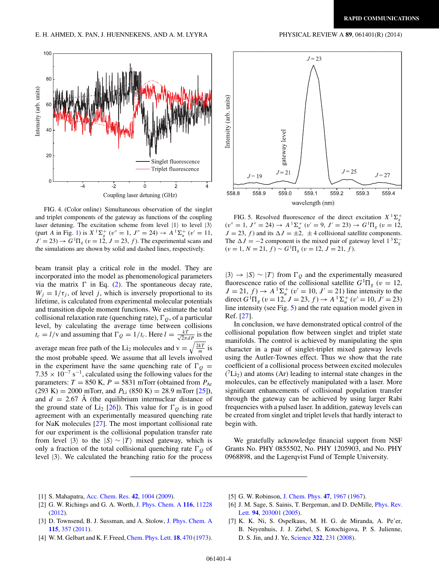<span id="page-3-0"></span>

FIG. 4. (Color online) Simultaneous observation of the singlet and triplet components of the gateway as functions of the coupling laser detuning. The excitation scheme from level  $|1\rangle$  to level  $|3\rangle$ (part *A* in Fig. [1\)](#page-1-0) is  $X^1\Sigma_g^+$  ( $v'' = 1$ ,  $J'' = 24$ )  $\rightarrow A^1\Sigma_u^+$  ( $v' = 11$ ,  $J' = 23$ )  $\rightarrow G^1\Pi_g$  ( $v = 12$ ,  $J = 23$ ,  $f$ ). The experimental scans and the simulations are shown by solid and dashed lines, respectively.

beam transit play a critical role in the model. They are incorporated into the model as phenomenological parameters via the matrix  $\Gamma$  in Eq. [\(2\)](#page-1-0). The spontaneous decay rate,  $W_j = 1/\tau_j$ , of level *j*, which is inversely proportional to its lifetime, is calculated from experimental molecular potentials and transition dipole moment functions. We estimate the total collisional relaxation rate (quenching rate),  $\Gamma_Q$ , of a particular level, by calculating the average time between collisions  $t_c = l/v$  and assuming that  $\Gamma_Q = 1/t_c$ . Here  $l = \frac{kT}{\sqrt{2\pi}dP}$  is the average mean free path of the Li<sub>2</sub> molecules and  $v = \sqrt{\frac{2kT}{m}}$  is the most probable speed. We assume that all levels involved in the experiment have the same quenching rate of  $\Gamma_{\scriptscriptstyle O} =$  $7.35 \times 10^{-7}$  s<sup>-1</sup>, calculated using the following values for the parameters:  $T = 850$  K,  $P = 5831$  mTorr (obtained from  $P_{Ar}$  $(293 \text{ K}) = 2000 \text{ mTorr}$ , and  $P_{Li}$   $(850 \text{ K}) = 28.9 \text{ mTorr}$   $[25]$ ), and  $d = 2.67$  Å (the equilibrium internuclear distance of the ground state of Li<sub>2</sub> [\[26\]](#page-4-0)). This value for  $\Gamma$ <sup>0</sup> is in good agreement with an experimentally measured quenching rate for NaK molecules [\[27\]](#page-4-0). The most important collisional rate for our experiment is the collisional population transfer rate from level  $|3\rangle$  to the  $|S\rangle \sim |T\rangle$  mixed gateway, which is only a fraction of the total collisional quenching rate  $\Gamma_Q$  of level  $|3\rangle$ . We calculated the branching ratio for the process



FIG. 5. Resolved fluorescence of the direct excitation  $X^1\Sigma_g^+$  $(v'' = 1, J'' = 24) \rightarrow A^{-1} \Sigma_u^+$   $(v' = 9, J' = 23) \rightarrow G^{-1} \Pi_g$   $(v = 12,$  $J = 23$ ,  $f$ ) and its  $\Delta J = \pm 2$ ,  $\pm 4$  collisional satellite components. The  $\Delta J = -2$  component is the mixed pair of gateway level  $1^3 \Sigma_g^ (v = 1, N = 21, f) \sim G^1 \Pi_g$   $(v = 12, J = 21, f)$ .

 $|3\rangle \rightarrow |S\rangle \sim |T\rangle$  from  $\Gamma$ <sub>O</sub> and the experimentally measured fluorescence ratio of the collisional satellite  $G<sup>1</sup>\Pi<sub>g</sub>$  ( $v = 12$ ,  $J = 21, f$   $\rightarrow$   $A^{-1}\Sigma_{u}^{+}$  ( $v' = 10, J' = 21$ ) line intensity to the direct  $G<sup>1</sup> \Pi_g$  ( $v = 12$ ,  $J = 23$ ,  $f$ )  $\rightarrow$   $A<sup>1</sup> \Sigma_u^+$  ( $v' = 10$ ,  $J' = 23$ ) line intensity (see Fig. 5) and the rate equation model given in Ref. [\[27\]](#page-4-0).

In conclusion, we have demonstrated optical control of the collisional population flow between singlet and triplet state manifolds. The control is achieved by manipulating the spin character in a pair of singlet-triplet mixed gateway levels using the Autler-Townes effect. Thus we show that the rate coefficient of a collisional process between excited molecules  $({}^{7}Li_{2})$  and atoms (Ar) leading to internal state changes in the molecules, can be effectively manipulated with a laser. More significant enhancements of collisional population transfer through the gateway can be achieved by using larger Rabi frequencies with a pulsed laser. In addition, gateway levels can be created from singlet and triplet levels that hardly interact to begin with.

We gratefully acknowledge financial support from NSF Grants No. PHY 0855502, No. PHY 1205903, and No. PHY 0968898, and the Lagerqvist Fund of Temple University.

- [1] S. Mahapatra, [Acc. Chem. Res.](http://dx.doi.org/10.1021/ar800186s) **[42](http://dx.doi.org/10.1021/ar800186s)**, [1004](http://dx.doi.org/10.1021/ar800186s) [\(2009\)](http://dx.doi.org/10.1021/ar800186s).
- [2] G. W. Richings and G. A. Worth, [J. Phys. Chem. A](http://dx.doi.org/10.1021/jp305216v) **[116](http://dx.doi.org/10.1021/jp305216v)**, [11228](http://dx.doi.org/10.1021/jp305216v) [\(2012\)](http://dx.doi.org/10.1021/jp305216v).
- [3] D. Townsend, B. J. Sussman, and A. Stolow, [J. Phys. Chem. A](http://dx.doi.org/10.1021/jp109095d) **[115](http://dx.doi.org/10.1021/jp109095d)**, [357](http://dx.doi.org/10.1021/jp109095d) [\(2011\)](http://dx.doi.org/10.1021/jp109095d).
- [4] W. M. Gelbart and K. F. Freed, [Chem. Phys. Lett.](http://dx.doi.org/10.1016/0009-2614(73)80445-2) **[18](http://dx.doi.org/10.1016/0009-2614(73)80445-2)**, [470](http://dx.doi.org/10.1016/0009-2614(73)80445-2) [\(1973\)](http://dx.doi.org/10.1016/0009-2614(73)80445-2).
- [5] G. W. Robinson, [J. Chem. Phys.](http://dx.doi.org/10.1063/1.1712224) **[47](http://dx.doi.org/10.1063/1.1712224)**, [1967](http://dx.doi.org/10.1063/1.1712224) [\(1967\)](http://dx.doi.org/10.1063/1.1712224).
- [6] [J. M. Sage, S. Sainis, T. Bergeman, and D. DeMille,](http://dx.doi.org/10.1103/PhysRevLett.94.203001) *Phys. Rev.* Lett. **[94](http://dx.doi.org/10.1103/PhysRevLett.94.203001)**, [203001](http://dx.doi.org/10.1103/PhysRevLett.94.203001) [\(2005\)](http://dx.doi.org/10.1103/PhysRevLett.94.203001).
- [7] K. K. Ni, S. Ospelkaus, M. H. G. de Miranda, A. Pe'er, B. Neyenhuis, J. J. Zirbel, S. Kotochigova, P. S. Julienne, D. S. Jin, and J. Ye, [Science](http://dx.doi.org/10.1126/science.1163861) **[322](http://dx.doi.org/10.1126/science.1163861)**, [231](http://dx.doi.org/10.1126/science.1163861) [\(2008\)](http://dx.doi.org/10.1126/science.1163861).